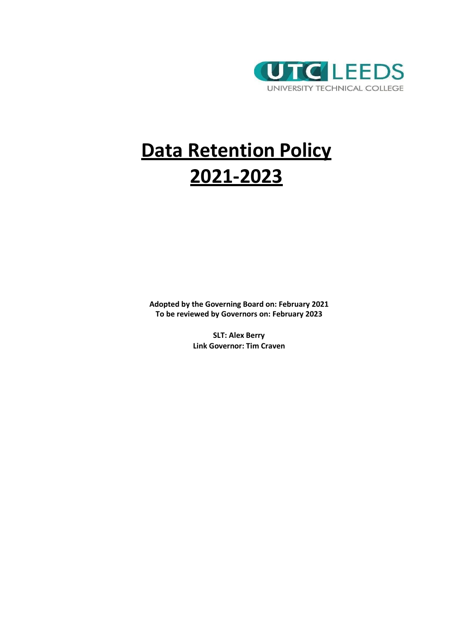

# **Data Retention Policy 2021-2023**

**Adopted by the Governing Board on: February 2021 To be reviewed by Governors on: February 2023**

> **SLT: Alex Berry Link Governor: Tim Craven**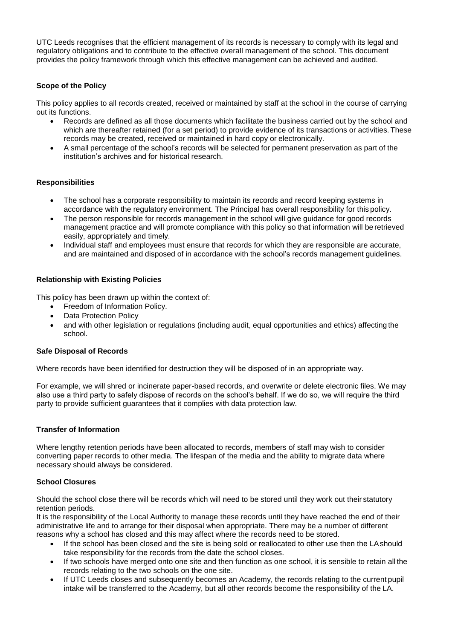UTC Leeds recognises that the efficient management of its records is necessary to comply with its legal and regulatory obligations and to contribute to the effective overall management of the school. This document provides the policy framework through which this effective management can be achieved and audited.

## **Scope of the Policy**

This policy applies to all records created, received or maintained by staff at the school in the course of carrying out its functions.

- Records are defined as all those documents which facilitate the business carried out by the school and which are thereafter retained (for a set period) to provide evidence of its transactions or activities. These records may be created, received or maintained in hard copy or electronically.
- A small percentage of the school's records will be selected for permanent preservation as part of the institution's archives and for historical research.

## **Responsibilities**

- The school has a corporate responsibility to maintain its records and record keeping systems in accordance with the regulatory environment. The Principal has overall responsibility for this policy.
- The person responsible for records management in the school will give guidance for good records management practice and will promote compliance with this policy so that information will be retrieved easily, appropriately and timely.
- Individual staff and employees must ensure that records for which they are responsible are accurate, and are maintained and disposed of in accordance with the school's records management guidelines.

### **Relationship with Existing Policies**

This policy has been drawn up within the context of:

- Freedom of Information Policy.
- Data Protection Policy
- and with other legislation or regulations (including audit, equal opportunities and ethics) affecting the school.

#### **Safe Disposal of Records**

Where records have been identified for destruction they will be disposed of in an appropriate way.

For example, we will shred or incinerate paper-based records, and overwrite or delete electronic files. We may also use a third party to safely dispose of records on the school's behalf. If we do so, we will require the third party to provide sufficient guarantees that it complies with data protection law.

#### **Transfer of Information**

Where lengthy retention periods have been allocated to records, members of staff may wish to consider converting paper records to other media. The lifespan of the media and the ability to migrate data where necessary should always be considered.

#### **School Closures**

Should the school close there will be records which will need to be stored until they work out their statutory retention periods.

It is the responsibility of the Local Authority to manage these records until they have reached the end of their administrative life and to arrange for their disposal when appropriate. There may be a number of different reasons why a school has closed and this may affect where the records need to be stored.

- If the school has been closed and the site is being sold or reallocated to other use then the LAshould take responsibility for the records from the date the school closes.
- If two schools have merged onto one site and then function as one school, it is sensible to retain all the records relating to the two schools on the one site.
- If UTC Leeds closes and subsequently becomes an Academy, the records relating to the current pupil intake will be transferred to the Academy, but all other records become the responsibility of the LA.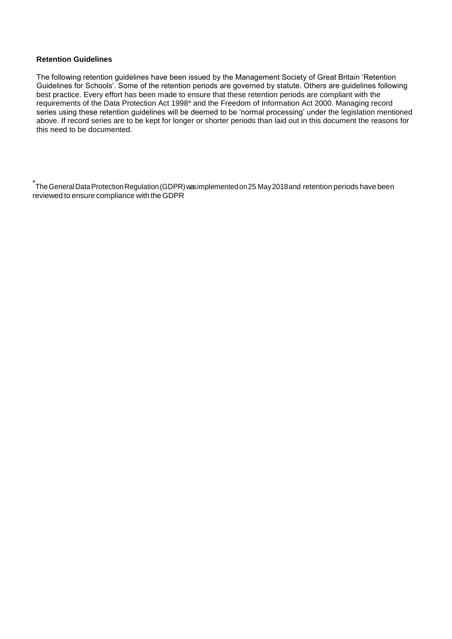## **Retention Guidelines**

The following retention guidelines have been issued by the Management Society of Great Britain 'Retention Guidelines for Schools'. Some of the retention periods are governed by statute. Others are guidelines following best practice. Every effort has been made to ensure that these retention periods are compliant with the requirements of the Data Protection Act 1998\* and the Freedom of Information Act 2000. Managing record series using these retention guidelines will be deemed to be 'normal processing' under the legislation mentioned above. If record series are to be kept for longer or shorter periods than laid out in this document the reasons for this need to be documented.

<u>.</u><br>The General Data Protection Regulation (GDPR) was implemented on 25 May 2018 and retention periods have been ` reviewed to ensure compliance with theGDPR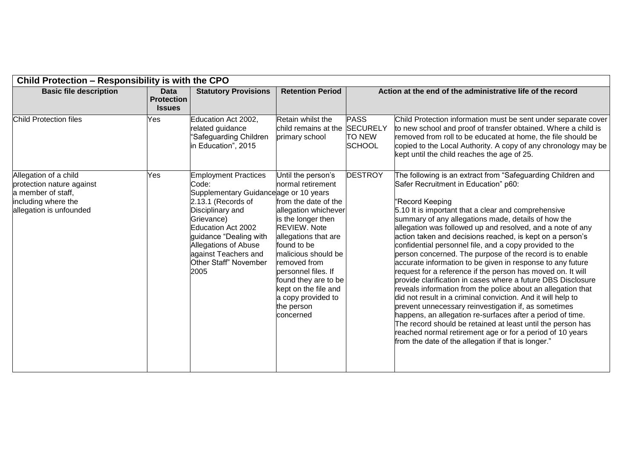| Child Protection - Responsibility is with the CPO                                                                          |                                                   |                                                                                                                                                                                                                                                                               |                                                                                                                                                                                                                                                                                                                                            |                                               |                                                                                                                                                                                                                                                                                                                                                                                                                                                                                                                                                                                                                                                                                                                                                                                                                                                                                                                                                                                                                                                                                                                              |  |  |
|----------------------------------------------------------------------------------------------------------------------------|---------------------------------------------------|-------------------------------------------------------------------------------------------------------------------------------------------------------------------------------------------------------------------------------------------------------------------------------|--------------------------------------------------------------------------------------------------------------------------------------------------------------------------------------------------------------------------------------------------------------------------------------------------------------------------------------------|-----------------------------------------------|------------------------------------------------------------------------------------------------------------------------------------------------------------------------------------------------------------------------------------------------------------------------------------------------------------------------------------------------------------------------------------------------------------------------------------------------------------------------------------------------------------------------------------------------------------------------------------------------------------------------------------------------------------------------------------------------------------------------------------------------------------------------------------------------------------------------------------------------------------------------------------------------------------------------------------------------------------------------------------------------------------------------------------------------------------------------------------------------------------------------------|--|--|
| <b>Basic file description</b>                                                                                              | <b>Data</b><br><b>Protection</b><br><b>Issues</b> | <b>Statutory Provisions</b>                                                                                                                                                                                                                                                   | <b>Retention Period</b>                                                                                                                                                                                                                                                                                                                    |                                               | Action at the end of the administrative life of the record                                                                                                                                                                                                                                                                                                                                                                                                                                                                                                                                                                                                                                                                                                                                                                                                                                                                                                                                                                                                                                                                   |  |  |
| Child Protection files                                                                                                     | Yes                                               | Education Act 2002,<br>related guidance<br>'Safeguarding Children<br>in Education", 2015                                                                                                                                                                                      | Retain whilst the<br>child remains at the SECURELY<br>primary school                                                                                                                                                                                                                                                                       | <b>PASS</b><br><b>TO NEW</b><br><b>SCHOOL</b> | Child Protection information must be sent under separate cover<br>to new school and proof of transfer obtained. Where a child is<br>removed from roll to be educated at home, the file should be<br>copied to the Local Authority. A copy of any chronology may be<br>kept until the child reaches the age of 25.                                                                                                                                                                                                                                                                                                                                                                                                                                                                                                                                                                                                                                                                                                                                                                                                            |  |  |
| Allegation of a child<br>protection nature against<br>a member of staff,<br>including where the<br>allegation is unfounded | Yes                                               | <b>Employment Practices</b><br>Code:<br>Supplementary Guidanceage or 10 years<br>2.13.1 (Records of<br>Disciplinary and<br>Grievance)<br>Education Act 2002<br>guidance "Dealing with<br><b>Allegations of Abuse</b><br>against Teachers and<br>Other Staff" November<br>2005 | Until the person's<br>normal retirement<br>from the date of the<br>allegation whichever<br>is the longer then<br><b>REVIEW. Note</b><br>allegations that are<br>found to be<br>malicious should be<br>removed from<br>personnel files. If<br>found they are to be<br>kept on the file and<br>a copy provided to<br>the person<br>concerned | <b>DESTROY</b>                                | The following is an extract from "Safeguarding Children and<br>Safer Recruitment in Education" p60:<br>"Record Keeping<br>5.10 It is important that a clear and comprehensive<br>summary of any allegations made, details of how the<br>allegation was followed up and resolved, and a note of any<br>action taken and decisions reached, is kept on a person's<br>confidential personnel file, and a copy provided to the<br>person concerned. The purpose of the record is to enable<br>accurate information to be given in response to any future<br>request for a reference if the person has moved on. It will<br>provide clarification in cases where a future DBS Disclosure<br>reveals information from the police about an allegation that<br>did not result in a criminal conviction. And it will help to<br>prevent unnecessary reinvestigation if, as sometimes<br>happens, an allegation re-surfaces after a period of time.<br>The record should be retained at least until the person has<br>reached normal retirement age or for a period of 10 years<br>from the date of the allegation if that is longer." |  |  |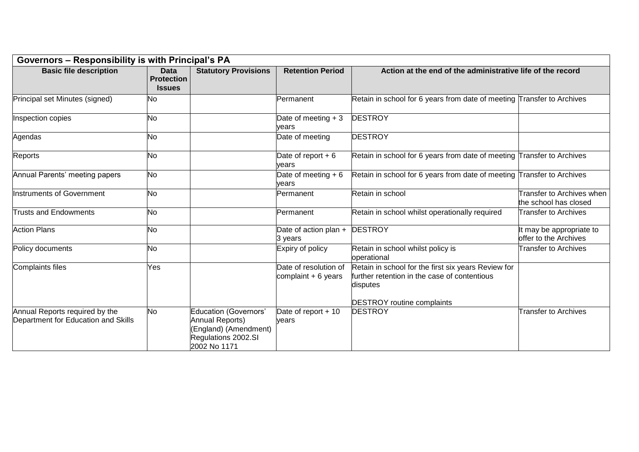|                                                                       | Governors - Responsibility is with Principal's PA |                                                                                                                |                                                |                                                                                                                                                      |                                                      |  |  |
|-----------------------------------------------------------------------|---------------------------------------------------|----------------------------------------------------------------------------------------------------------------|------------------------------------------------|------------------------------------------------------------------------------------------------------------------------------------------------------|------------------------------------------------------|--|--|
| <b>Basic file description</b>                                         | <b>Data</b><br><b>Protection</b><br><b>Issues</b> | <b>Statutory Provisions</b>                                                                                    | <b>Retention Period</b>                        | Action at the end of the administrative life of the record                                                                                           |                                                      |  |  |
| Principal set Minutes (signed)                                        | No                                                |                                                                                                                | Permanent                                      | Retain in school for 6 years from date of meeting Transfer to Archives                                                                               |                                                      |  |  |
| Inspection copies                                                     | <b>No</b>                                         |                                                                                                                | Date of meeting $+3$<br>vears                  | <b>DESTROY</b>                                                                                                                                       |                                                      |  |  |
| Agendas                                                               | No                                                |                                                                                                                | Date of meeting                                | <b>DESTROY</b>                                                                                                                                       |                                                      |  |  |
| Reports                                                               | <b>No</b>                                         |                                                                                                                | Date of report $+6$<br>vears                   | Retain in school for 6 years from date of meeting Transfer to Archives                                                                               |                                                      |  |  |
| Annual Parents' meeting papers                                        | <b>No</b>                                         |                                                                                                                | Date of meeting $+6$<br>vears                  | Retain in school for 6 years from date of meeting Transfer to Archives                                                                               |                                                      |  |  |
| Instruments of Government                                             | <b>No</b>                                         |                                                                                                                | Permanent                                      | Retain in school                                                                                                                                     | Transfer to Archives when  <br>the school has closed |  |  |
| <b>Trusts and Endowments</b>                                          | <b>No</b>                                         |                                                                                                                | Permanent                                      | Retain in school whilst operationally required                                                                                                       | <b>Transfer to Archives</b>                          |  |  |
| <b>Action Plans</b>                                                   | <b>No</b>                                         |                                                                                                                | Date of action plan +<br>3 years               | <b>DESTROY</b>                                                                                                                                       | It may be appropriate to<br>offer to the Archives    |  |  |
| Policy documents                                                      | <b>No</b>                                         |                                                                                                                | Expiry of policy                               | Retain in school whilst policy is<br>operational                                                                                                     | <b>Transfer to Archives</b>                          |  |  |
| <b>Complaints files</b>                                               | Yes                                               |                                                                                                                | Date of resolution of<br>complaint $+ 6$ years | Retain in school for the first six years Review for<br>further retention in the case of contentious<br>disputes<br><b>DESTROY</b> routine complaints |                                                      |  |  |
| Annual Reports required by the<br>Department for Education and Skills | <b>No</b>                                         | <b>Education (Governors'</b><br>Annual Reports)<br>England) (Amendment)<br>Regulations 2002.SI<br>2002 No 1171 | Date of report + 10<br>vears                   | <b>DESTROY</b>                                                                                                                                       | <b>Transfer to Archives</b>                          |  |  |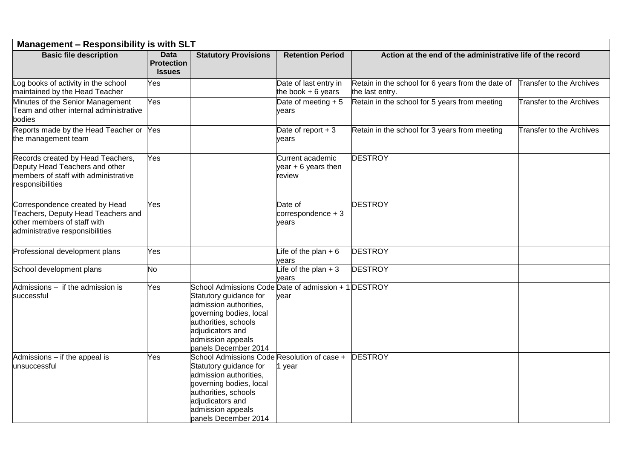| <b>Management - Responsibility is with SLT</b>                                                                                         |                                                   |                                                                                                                                                                                                                              |                                                    |                                                                      |                          |  |
|----------------------------------------------------------------------------------------------------------------------------------------|---------------------------------------------------|------------------------------------------------------------------------------------------------------------------------------------------------------------------------------------------------------------------------------|----------------------------------------------------|----------------------------------------------------------------------|--------------------------|--|
| <b>Basic file description</b>                                                                                                          | <b>Data</b><br><b>Protection</b><br><b>Issues</b> | <b>Statutory Provisions</b>                                                                                                                                                                                                  | <b>Retention Period</b>                            | Action at the end of the administrative life of the record           |                          |  |
| Log books of activity in the school<br>maintained by the Head Teacher                                                                  | Yes                                               |                                                                                                                                                                                                                              | Date of last entry in<br>the book $+6$ years       | Retain in the school for 6 years from the date of<br>the last entry. | Transfer to the Archives |  |
| Minutes of the Senior Management<br>Team and other internal administrative<br>bodies                                                   | Yes                                               |                                                                                                                                                                                                                              | Date of meeting $+5$<br>years                      | Retain in the school for 5 years from meeting                        | Transfer to the Archives |  |
| Reports made by the Head Teacher or Yes<br>the management team                                                                         |                                                   |                                                                                                                                                                                                                              | Date of report $+3$<br>years                       | Retain in the school for 3 years from meeting                        | Transfer to the Archives |  |
| Records created by Head Teachers,<br>Deputy Head Teachers and other<br>members of staff with administrative<br>responsibilities        | Yes                                               |                                                                                                                                                                                                                              | Current academic<br>year $+6$ years then<br>review | <b>DESTROY</b>                                                       |                          |  |
| Correspondence created by Head<br>Teachers, Deputy Head Teachers and<br>other members of staff with<br>administrative responsibilities | Yes                                               |                                                                                                                                                                                                                              | Date of<br>correspondence $+3$<br>years            | <b>DESTROY</b>                                                       |                          |  |
| Professional development plans                                                                                                         | Yes                                               |                                                                                                                                                                                                                              | Life of the plan $+6$<br>years                     | <b>DESTROY</b>                                                       |                          |  |
| School development plans                                                                                                               | <b>No</b>                                         |                                                                                                                                                                                                                              | Life of the plan $+3$<br>vears                     | <b>DESTROY</b>                                                       |                          |  |
| Admissions - if the admission is<br>successful                                                                                         | Yes                                               | School Admissions Code Date of admission + 1 DESTROY<br>Statutory guidance for<br>admission authorities,<br>governing bodies, local<br>authorities, schools<br>adjudicators and<br>admission appeals<br>panels December 2014 | vear                                               |                                                                      |                          |  |
| Admissions - if the appeal is<br>unsuccessful                                                                                          | Yes                                               | School Admissions Code Resolution of case +<br>Statutory guidance for<br>admission authorities,<br>governing bodies, local<br>authorities, schools<br>adjudicators and<br>admission appeals<br>panels December 2014          | year                                               | <b>DESTROY</b>                                                       |                          |  |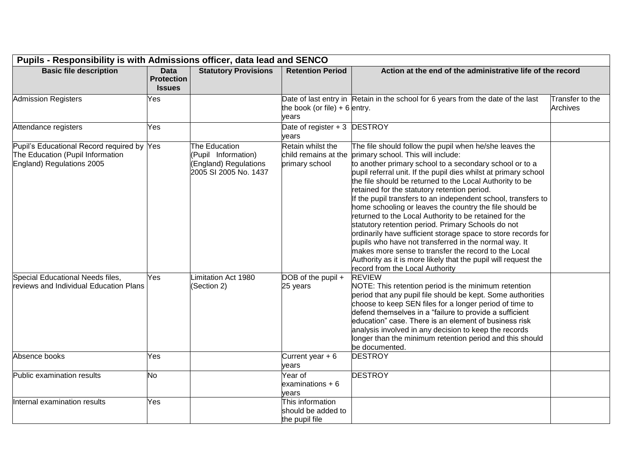| Pupils - Responsibility is with Admissions officer, data lead and SENCO                                     |                                                   |                                                                                        |                                                             |                                                                                                                                                                                                                                                                                                                                                                                                                                                                                                                                                                                                                                                                                                                                                                                                                                                                            |                                    |
|-------------------------------------------------------------------------------------------------------------|---------------------------------------------------|----------------------------------------------------------------------------------------|-------------------------------------------------------------|----------------------------------------------------------------------------------------------------------------------------------------------------------------------------------------------------------------------------------------------------------------------------------------------------------------------------------------------------------------------------------------------------------------------------------------------------------------------------------------------------------------------------------------------------------------------------------------------------------------------------------------------------------------------------------------------------------------------------------------------------------------------------------------------------------------------------------------------------------------------------|------------------------------------|
| <b>Basic file description</b>                                                                               | <b>Data</b><br><b>Protection</b><br><b>Issues</b> | <b>Statutory Provisions</b>                                                            | <b>Retention Period</b>                                     | Action at the end of the administrative life of the record                                                                                                                                                                                                                                                                                                                                                                                                                                                                                                                                                                                                                                                                                                                                                                                                                 |                                    |
| <b>Admission Registers</b>                                                                                  | Yes                                               |                                                                                        | the book (or file) + 6 entry.<br>years                      | Date of last entry in Retain in the school for 6 years from the date of the last                                                                                                                                                                                                                                                                                                                                                                                                                                                                                                                                                                                                                                                                                                                                                                                           | Transfer to the<br><b>Archives</b> |
| Attendance registers                                                                                        | Yes                                               |                                                                                        | Date of register $+3$ DESTROY<br>years                      |                                                                                                                                                                                                                                                                                                                                                                                                                                                                                                                                                                                                                                                                                                                                                                                                                                                                            |                                    |
| Pupil's Educational Record required by Yes<br>The Education (Pupil Information<br>England) Regulations 2005 |                                                   | The Education<br>(Pupil Information)<br>(England) Regulations<br>2005 SI 2005 No. 1437 | Retain whilst the<br>child remains at the<br>primary school | The file should follow the pupil when he/she leaves the<br>primary school. This will include:<br>to another primary school to a secondary school or to a<br>pupil referral unit. If the pupil dies whilst at primary school<br>the file should be returned to the Local Authority to be<br>retained for the statutory retention period.<br>If the pupil transfers to an independent school, transfers to<br>home schooling or leaves the country the file should be<br>returned to the Local Authority to be retained for the<br>statutory retention period. Primary Schools do not<br>ordinarily have sufficient storage space to store records for<br>pupils who have not transferred in the normal way. It<br>makes more sense to transfer the record to the Local<br>Authority as it is more likely that the pupil will request the<br>record from the Local Authority |                                    |
| Special Educational Needs files,<br>reviews and Individual Education Plans                                  | Yes                                               | imitation Act 1980<br>(Section 2)                                                      | DOB of the pupil +<br>25 years                              | <b>REVIEW</b><br>NOTE: This retention period is the minimum retention<br>period that any pupil file should be kept. Some authorities<br>choose to keep SEN files for a longer period of time to<br>defend themselves in a "failure to provide a sufficient<br>leducation" case. There is an element of business risk<br>analysis involved in any decision to keep the records<br>longer than the minimum retention period and this should<br>be documented.                                                                                                                                                                                                                                                                                                                                                                                                                |                                    |
| Absence books                                                                                               | Yes                                               |                                                                                        | Current year $+6$<br>years                                  | <b>DESTROY</b>                                                                                                                                                                                                                                                                                                                                                                                                                                                                                                                                                                                                                                                                                                                                                                                                                                                             |                                    |
| Public examination results                                                                                  | No                                                |                                                                                        | Year of<br>examinations $+6$<br>vears                       | <b>DESTROY</b>                                                                                                                                                                                                                                                                                                                                                                                                                                                                                                                                                                                                                                                                                                                                                                                                                                                             |                                    |
| Internal examination results                                                                                | Yes                                               |                                                                                        | This information<br>should be added to<br>the pupil file    |                                                                                                                                                                                                                                                                                                                                                                                                                                                                                                                                                                                                                                                                                                                                                                                                                                                                            |                                    |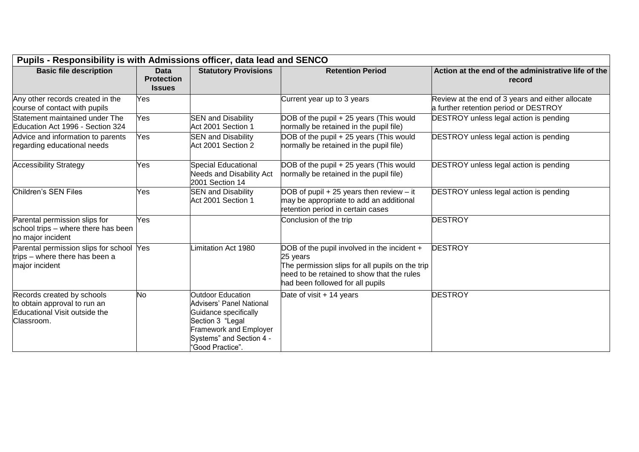| Pupils - Responsibility is with Admissions officer, data lead and SENCO                                   |                                                   |                                                                                                                                                                             |                                                                                                                                                                                              |                                                                                           |  |  |  |
|-----------------------------------------------------------------------------------------------------------|---------------------------------------------------|-----------------------------------------------------------------------------------------------------------------------------------------------------------------------------|----------------------------------------------------------------------------------------------------------------------------------------------------------------------------------------------|-------------------------------------------------------------------------------------------|--|--|--|
| <b>Basic file description</b>                                                                             | <b>Data</b><br><b>Protection</b><br><b>Issues</b> | <b>Statutory Provisions</b>                                                                                                                                                 | <b>Retention Period</b>                                                                                                                                                                      | Action at the end of the administrative life of the<br>record                             |  |  |  |
| Any other records created in the<br>course of contact with pupils                                         | Yes                                               |                                                                                                                                                                             | Current year up to 3 years                                                                                                                                                                   | Review at the end of 3 years and either allocate<br>a further retention period or DESTROY |  |  |  |
| Statement maintained under The<br>Education Act 1996 - Section 324                                        | Yes                                               | <b>SEN and Disability</b><br>Act 2001 Section 1                                                                                                                             | DOB of the pupil + 25 years (This would<br>normally be retained in the pupil file)                                                                                                           | <b>DESTROY</b> unless legal action is pending                                             |  |  |  |
| Advice and information to parents<br>regarding educational needs                                          | Yes                                               | <b>SEN and Disability</b><br>Act 2001 Section 2                                                                                                                             | DOB of the pupil + 25 years (This would<br>normally be retained in the pupil file)                                                                                                           | <b>DESTROY</b> unless legal action is pending                                             |  |  |  |
| <b>Accessibility Strategy</b>                                                                             | Yes                                               | <b>Special Educational</b><br>Needs and Disability Act<br>2001 Section 14                                                                                                   | DOB of the pupil + 25 years (This would<br>normally be retained in the pupil file)                                                                                                           | <b>DESTROY</b> unless legal action is pending                                             |  |  |  |
| Children's SEN Files                                                                                      | Yes                                               | <b>SEN and Disability</b><br>Act 2001 Section 1                                                                                                                             | DOB of pupil $+25$ years then review $-$ it<br>may be appropriate to add an additional<br>retention period in certain cases                                                                  | <b>DESTROY</b> unless legal action is pending                                             |  |  |  |
| Parental permission slips for<br>school trips - where there has been<br>no major incident                 | Yes                                               |                                                                                                                                                                             | Conclusion of the trip                                                                                                                                                                       | <b>DESTROY</b>                                                                            |  |  |  |
| Parental permission slips for school<br>trips – where there has been a<br>major incident                  | Yes                                               | imitation Act 1980                                                                                                                                                          | DOB of the pupil involved in the incident +<br>25 years<br>The permission slips for all pupils on the trip<br>need to be retained to show that the rules<br>had been followed for all pupils | <b>DESTROY</b>                                                                            |  |  |  |
| Records created by schools<br>to obtain approval to run an<br>Educational Visit outside the<br>Classroom. | No                                                | Outdoor Education<br><b>Advisers' Panel National</b><br>Guidance specifically<br>Section 3 "Legal<br>Framework and Employer<br>Systems" and Section 4 -<br>"Good Practice". | Date of visit + 14 years                                                                                                                                                                     | <b>DESTROY</b>                                                                            |  |  |  |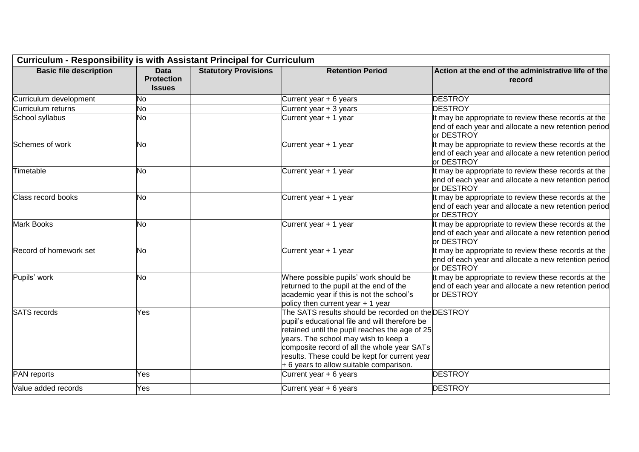| <b>Curriculum - Responsibility is with Assistant Principal for Curriculum</b> |                                                   |                             |                                                                                                                                                                                                                                                                                                                                             |                                                                                                                            |  |  |  |
|-------------------------------------------------------------------------------|---------------------------------------------------|-----------------------------|---------------------------------------------------------------------------------------------------------------------------------------------------------------------------------------------------------------------------------------------------------------------------------------------------------------------------------------------|----------------------------------------------------------------------------------------------------------------------------|--|--|--|
| <b>Basic file description</b>                                                 | <b>Data</b><br><b>Protection</b><br><b>Issues</b> | <b>Statutory Provisions</b> | <b>Retention Period</b>                                                                                                                                                                                                                                                                                                                     | Action at the end of the administrative life of the<br>record                                                              |  |  |  |
| Curriculum development                                                        | No                                                |                             | Current year + 6 years                                                                                                                                                                                                                                                                                                                      | <b>DESTROY</b>                                                                                                             |  |  |  |
| Curriculum returns                                                            | No                                                |                             | Current year + 3 years                                                                                                                                                                                                                                                                                                                      | <b>DESTROY</b>                                                                                                             |  |  |  |
| School syllabus                                                               | No                                                |                             | Current year + 1 year                                                                                                                                                                                                                                                                                                                       | It may be appropriate to review these records at the<br>end of each year and allocate a new retention period<br>or DESTROY |  |  |  |
| Schemes of work                                                               | No                                                |                             | Current year + 1 year                                                                                                                                                                                                                                                                                                                       | It may be appropriate to review these records at the<br>end of each year and allocate a new retention period<br>or DESTROY |  |  |  |
| Timetable                                                                     | No                                                |                             | Current year + 1 year                                                                                                                                                                                                                                                                                                                       | It may be appropriate to review these records at the<br>end of each year and allocate a new retention period<br>or DESTROY |  |  |  |
| Class record books                                                            | No                                                |                             | Current year + 1 year                                                                                                                                                                                                                                                                                                                       | It may be appropriate to review these records at the<br>end of each year and allocate a new retention period<br>or DESTROY |  |  |  |
| Mark Books                                                                    | No                                                |                             | Current year + 1 year                                                                                                                                                                                                                                                                                                                       | It may be appropriate to review these records at the<br>end of each year and allocate a new retention period<br>or DESTROY |  |  |  |
| Record of homework set                                                        | No                                                |                             | Current year + 1 year                                                                                                                                                                                                                                                                                                                       | It may be appropriate to review these records at the<br>end of each year and allocate a new retention period<br>or DESTROY |  |  |  |
| Pupils' work                                                                  | No                                                |                             | Where possible pupils' work should be<br>returned to the pupil at the end of the<br>academic year if this is not the school's<br>policy then current year + 1 year                                                                                                                                                                          | It may be appropriate to review these records at the<br>end of each year and allocate a new retention period<br>or DESTROY |  |  |  |
| <b>SATS</b> records                                                           | Yes                                               |                             | The SATS results should be recorded on the DESTROY<br>pupil's educational file and will therefore be<br>retained until the pupil reaches the age of 25<br>years. The school may wish to keep a<br>composite record of all the whole year SATs<br>results. These could be kept for current year<br>$+$ 6 years to allow suitable comparison. |                                                                                                                            |  |  |  |
| PAN reports                                                                   | Yes                                               |                             | Current year + 6 years                                                                                                                                                                                                                                                                                                                      | <b>DESTROY</b>                                                                                                             |  |  |  |
| Value added records                                                           | Yes                                               |                             | Current year + 6 years                                                                                                                                                                                                                                                                                                                      | <b>DESTROY</b>                                                                                                             |  |  |  |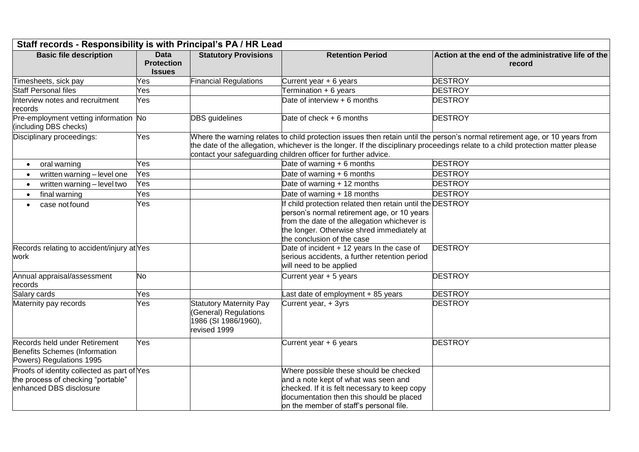| Staff records - Responsibility is with Principal's PA / HR Lead                                              |                                                   |                                                                                                 |                                                                                                                                                                                                                                      |                                                                                                                                                                                                                                                                |  |  |
|--------------------------------------------------------------------------------------------------------------|---------------------------------------------------|-------------------------------------------------------------------------------------------------|--------------------------------------------------------------------------------------------------------------------------------------------------------------------------------------------------------------------------------------|----------------------------------------------------------------------------------------------------------------------------------------------------------------------------------------------------------------------------------------------------------------|--|--|
| <b>Basic file description</b>                                                                                | <b>Data</b><br><b>Protection</b><br><b>Issues</b> | <b>Statutory Provisions</b>                                                                     | <b>Retention Period</b>                                                                                                                                                                                                              | Action at the end of the administrative life of the<br>record                                                                                                                                                                                                  |  |  |
| Timesheets, sick pay                                                                                         | Yes.                                              | <b>Financial Regulations</b>                                                                    | Current year + 6 years                                                                                                                                                                                                               | <b>DESTROY</b>                                                                                                                                                                                                                                                 |  |  |
| <b>Staff Personal files</b>                                                                                  | Yes                                               |                                                                                                 | Termination + 6 years                                                                                                                                                                                                                | <b>DESTROY</b>                                                                                                                                                                                                                                                 |  |  |
| Interview notes and recruitment<br>records                                                                   | Yes                                               |                                                                                                 | Date of interview + 6 months                                                                                                                                                                                                         | <b>DESTROY</b>                                                                                                                                                                                                                                                 |  |  |
| Pre-employment vetting information No<br>(including DBS checks)                                              |                                                   | <b>DBS</b> guidelines                                                                           | Date of check $+6$ months                                                                                                                                                                                                            | <b>DESTROY</b>                                                                                                                                                                                                                                                 |  |  |
| Disciplinary proceedings:                                                                                    | Yes                                               |                                                                                                 | contact your safeguarding children officer for further advice.                                                                                                                                                                       | Where the warning relates to child protection issues then retain until the person's normal retirement age, or 10 years from<br>the date of the allegation, whichever is the longer. If the disciplinary proceedings relate to a child protection matter please |  |  |
| oral warning<br>$\bullet$                                                                                    | Yes                                               |                                                                                                 | Date of warning $+ 6$ months                                                                                                                                                                                                         | <b>DESTROY</b>                                                                                                                                                                                                                                                 |  |  |
| written warning - level one<br>$\bullet$                                                                     | Yes                                               |                                                                                                 | Date of warning $+6$ months                                                                                                                                                                                                          | <b>DESTROY</b>                                                                                                                                                                                                                                                 |  |  |
| written warning - level two                                                                                  | Yes                                               |                                                                                                 | Date of warning + 12 months                                                                                                                                                                                                          | <b>DESTROY</b>                                                                                                                                                                                                                                                 |  |  |
| final warning<br>$\bullet$                                                                                   | Yes                                               |                                                                                                 | Date of warning + 18 months                                                                                                                                                                                                          | <b>DESTROY</b>                                                                                                                                                                                                                                                 |  |  |
| case not found                                                                                               | Yes                                               |                                                                                                 | If child protection related then retain until the DESTROY<br>person's normal retirement age, or 10 years<br>from the date of the allegation whichever is<br>the longer. Otherwise shred immediately at<br>the conclusion of the case |                                                                                                                                                                                                                                                                |  |  |
| Records relating to accident/injury at Yes<br>work                                                           |                                                   |                                                                                                 | Date of incident + 12 years In the case of<br>serious accidents, a further retention period<br>will need to be applied                                                                                                               | <b>DESTROY</b>                                                                                                                                                                                                                                                 |  |  |
| Annual appraisal/assessment<br>records                                                                       | No                                                |                                                                                                 | Current year + 5 years                                                                                                                                                                                                               | <b>DESTROY</b>                                                                                                                                                                                                                                                 |  |  |
| Salary cards                                                                                                 | Yes                                               |                                                                                                 | Last date of employment + 85 years                                                                                                                                                                                                   | <b>DESTROY</b>                                                                                                                                                                                                                                                 |  |  |
| Maternity pay records                                                                                        | Yes                                               | <b>Statutory Maternity Pay</b><br>(General) Regulations<br>1986 (SI 1986/1960),<br>revised 1999 | Current year, + 3yrs                                                                                                                                                                                                                 | <b>DESTROY</b>                                                                                                                                                                                                                                                 |  |  |
| Records held under Retirement<br>Benefits Schemes (Information<br>Powers) Regulations 1995                   | Yes                                               |                                                                                                 | Current year + 6 years                                                                                                                                                                                                               | <b>DESTROY</b>                                                                                                                                                                                                                                                 |  |  |
| Proofs of identity collected as part of Yes<br>the process of checking "portable"<br>enhanced DBS disclosure |                                                   |                                                                                                 | Where possible these should be checked<br>and a note kept of what was seen and<br>checked. If it is felt necessary to keep copy<br>documentation then this should be placed<br>on the member of staff's personal file.               |                                                                                                                                                                                                                                                                |  |  |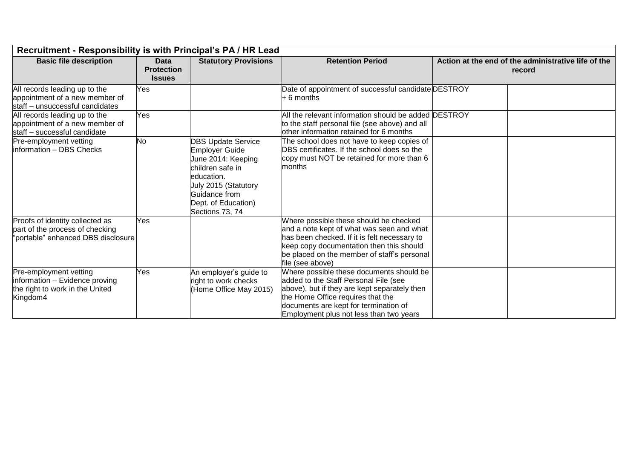| Recruitment - Responsibility is with Principal's PA / HR Lead                                            |                                            |                                                                                                                                                                                        |                                                                                                                                                                                                                                                            |                                                               |  |  |  |
|----------------------------------------------------------------------------------------------------------|--------------------------------------------|----------------------------------------------------------------------------------------------------------------------------------------------------------------------------------------|------------------------------------------------------------------------------------------------------------------------------------------------------------------------------------------------------------------------------------------------------------|---------------------------------------------------------------|--|--|--|
| <b>Basic file description</b>                                                                            | Data<br><b>Protection</b><br><b>Issues</b> | <b>Statutory Provisions</b>                                                                                                                                                            | <b>Retention Period</b>                                                                                                                                                                                                                                    | Action at the end of the administrative life of the<br>record |  |  |  |
| All records leading up to the<br>appointment of a new member of<br>staff - unsuccessful candidates       | Yes                                        |                                                                                                                                                                                        | Date of appointment of successful candidate DESTROY<br>$+6$ months                                                                                                                                                                                         |                                                               |  |  |  |
| All records leading up to the<br>appointment of a new member of<br>staff - successful candidate          | Yes                                        |                                                                                                                                                                                        | All the relevant information should be added DESTROY<br>to the staff personal file (see above) and all<br>lother information retained for 6 months                                                                                                         |                                                               |  |  |  |
| Pre-employment vetting<br>information - DBS Checks                                                       | No                                         | <b>DBS Update Service</b><br>Employer Guide<br>June 2014: Keeping<br>children safe in<br>education.<br>July 2015 (Statutory<br>Guidance from<br>Dept. of Education)<br>Sections 73, 74 | The school does not have to keep copies of<br>DBS certificates. If the school does so the<br>copy must NOT be retained for more than 6<br>months                                                                                                           |                                                               |  |  |  |
| Proofs of identity collected as<br>part of the process of checking<br>"portable" enhanced DBS disclosure | Yes                                        |                                                                                                                                                                                        | Where possible these should be checked<br>and a note kept of what was seen and what<br>has been checked. If it is felt necessary to<br>keep copy documentation then this should<br>be placed on the member of staff's personal<br>file (see above)         |                                                               |  |  |  |
| Pre-employment vetting<br>information - Evidence proving<br>the right to work in the United<br>Kingdom4  | Yes                                        | An employer's guide to<br>right to work checks<br>(Home Office May 2015)                                                                                                               | Where possible these documents should be<br>added to the Staff Personal File (see<br>above), but if they are kept separately then<br>the Home Office requires that the<br>documents are kept for termination of<br>Employment plus not less than two years |                                                               |  |  |  |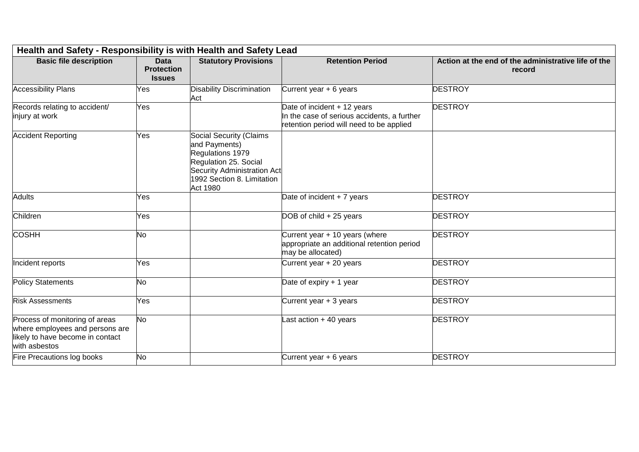| Health and Safety - Responsibility is with Health and Safety Lead                                                      |                                                   |                                                                                                                                                                              |                                                                                                                        |                                                               |  |  |  |
|------------------------------------------------------------------------------------------------------------------------|---------------------------------------------------|------------------------------------------------------------------------------------------------------------------------------------------------------------------------------|------------------------------------------------------------------------------------------------------------------------|---------------------------------------------------------------|--|--|--|
| <b>Basic file description</b>                                                                                          | <b>Data</b><br><b>Protection</b><br><b>Issues</b> | <b>Statutory Provisions</b>                                                                                                                                                  | <b>Retention Period</b>                                                                                                | Action at the end of the administrative life of the<br>record |  |  |  |
| <b>Accessibility Plans</b>                                                                                             | Yes                                               | <b>Disability Discrimination</b><br>Act                                                                                                                                      | Current year $+6$ years                                                                                                | <b>DESTROY</b>                                                |  |  |  |
| Records relating to accident/<br>injury at work                                                                        | Yes                                               |                                                                                                                                                                              | Date of incident + 12 years<br>In the case of serious accidents, a further<br>retention period will need to be applied | <b>DESTROY</b>                                                |  |  |  |
| <b>Accident Reporting</b>                                                                                              | Yes                                               | <b>Social Security (Claims</b><br>and Payments)<br>Regulations 1979<br>Regulation 25. Social<br><b>Security Administration Act</b><br>1992 Section 8. Limitation<br>Act 1980 |                                                                                                                        |                                                               |  |  |  |
| <b>Adults</b>                                                                                                          | Yes                                               |                                                                                                                                                                              | Date of incident + 7 years                                                                                             | <b>DESTROY</b>                                                |  |  |  |
| Children                                                                                                               | Yes                                               |                                                                                                                                                                              | DOB of child + 25 years                                                                                                | <b>DESTROY</b>                                                |  |  |  |
| <b>COSHH</b>                                                                                                           | No                                                |                                                                                                                                                                              | Current year + 10 years (where<br>appropriate an additional retention period<br>may be allocated)                      | <b>DESTROY</b>                                                |  |  |  |
| Incident reports                                                                                                       | Yes                                               |                                                                                                                                                                              | Current year + 20 years                                                                                                | <b>DESTROY</b>                                                |  |  |  |
| Policy Statements                                                                                                      | No                                                |                                                                                                                                                                              | Date of expiry $+1$ year                                                                                               | <b>DESTROY</b>                                                |  |  |  |
| <b>Risk Assessments</b>                                                                                                | Yes                                               |                                                                                                                                                                              | Current year + 3 years                                                                                                 | <b>DESTROY</b>                                                |  |  |  |
| Process of monitoring of areas<br>where employees and persons are<br>likely to have become in contact<br>with asbestos | No                                                |                                                                                                                                                                              | Last action $+40$ years                                                                                                | <b>DESTROY</b>                                                |  |  |  |
| Fire Precautions log books                                                                                             | No                                                |                                                                                                                                                                              | Current year $+6$ years                                                                                                | <b>DESTROY</b>                                                |  |  |  |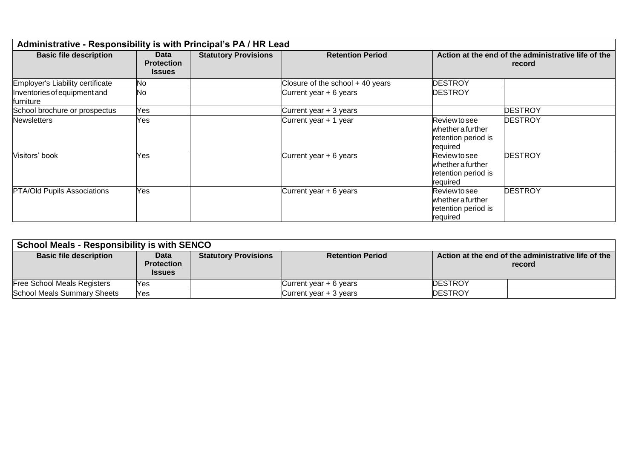| Administrative - Responsibility is with Principal's PA / HR Lead |                                            |                             |                                    |                                                                              |                |  |  |
|------------------------------------------------------------------|--------------------------------------------|-----------------------------|------------------------------------|------------------------------------------------------------------------------|----------------|--|--|
| <b>Basic file description</b>                                    | Data<br><b>Protection</b><br><b>Issues</b> | <b>Statutory Provisions</b> | <b>Retention Period</b>            | Action at the end of the administrative life of the<br>record                |                |  |  |
| Employer's Liability certificate                                 | No.                                        |                             | Closure of the school $+$ 40 years | <b>DESTROY</b>                                                               |                |  |  |
| Inventories of equipment and<br>furniture                        | <b>No</b>                                  |                             | Current year $+6$ years            | <b>DESTROY</b>                                                               |                |  |  |
| School brochure or prospectus                                    | Yes                                        |                             | Current year + 3 years             |                                                                              | <b>DESTROY</b> |  |  |
| <b>Newsletters</b>                                               | Yes                                        |                             | Current year + 1 year              | Review to see<br>whether a further<br>retention period is<br>required        | <b>DESTROY</b> |  |  |
| Visitors' book                                                   | Yes                                        |                             | Current year $+6$ years            | Review to see<br>whether a further<br>retention period is<br>required        | <b>DESTROY</b> |  |  |
| <b>PTA/Old Pupils Associations</b>                               | Yes                                        |                             | Current year $+ 6$ years           | <b>Review to see</b><br>whether a further<br>retention period is<br>required | <b>DESTROY</b> |  |  |

| <b>School Meals - Responsibility is with SENCO</b> |                                                   |                             |                          |                                                               |  |  |  |
|----------------------------------------------------|---------------------------------------------------|-----------------------------|--------------------------|---------------------------------------------------------------|--|--|--|
| <b>Basic file description</b>                      | <b>Data</b><br><b>Protection</b><br><b>Issues</b> | <b>Statutory Provisions</b> | <b>Retention Period</b>  | Action at the end of the administrative life of the<br>record |  |  |  |
| <b>Free School Meals Registers</b>                 | IYes                                              |                             | Current year $+ 6$ years | <b>DESTROY</b>                                                |  |  |  |
| <b>School Meals Summary Sheets</b>                 | Yes                                               |                             | Current year $+3$ years  | <b>DESTROY</b>                                                |  |  |  |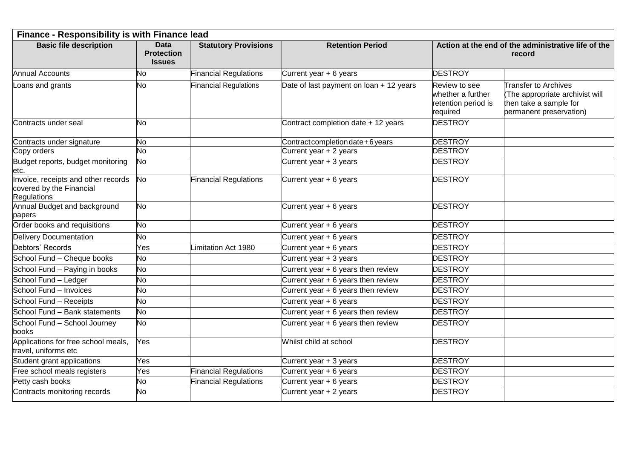| Finance - Responsibility is with Finance lead                                  |                                                   |                              |                                         |                                                                       |                                                                                                                     |  |  |
|--------------------------------------------------------------------------------|---------------------------------------------------|------------------------------|-----------------------------------------|-----------------------------------------------------------------------|---------------------------------------------------------------------------------------------------------------------|--|--|
| <b>Basic file description</b>                                                  | <b>Data</b><br><b>Protection</b><br><b>Issues</b> | <b>Statutory Provisions</b>  | <b>Retention Period</b>                 | Action at the end of the administrative life of the<br>record         |                                                                                                                     |  |  |
| <b>Annual Accounts</b>                                                         | No                                                | <b>Financial Regulations</b> | Current year $+ 6$ years                | <b>DESTROY</b>                                                        |                                                                                                                     |  |  |
| Loans and grants                                                               | <b>No</b>                                         | <b>Financial Regulations</b> | Date of last payment on loan + 12 years | Review to see<br>whether a further<br>retention period is<br>required | <b>Transfer to Archives</b><br>(The appropriate archivist will<br>then take a sample for<br>permanent preservation) |  |  |
| Contracts under seal                                                           | <b>No</b>                                         |                              | Contract completion date + 12 years     | <b>DESTROY</b>                                                        |                                                                                                                     |  |  |
| Contracts under signature                                                      | No                                                |                              | Contract completion date + 6 years      | <b>DESTROY</b>                                                        |                                                                                                                     |  |  |
| Copy orders                                                                    | <b>No</b>                                         |                              | Current year + 2 years                  | <b>DESTROY</b>                                                        |                                                                                                                     |  |  |
| Budget reports, budget monitoring<br>etc.                                      | <b>No</b>                                         |                              | Current year + 3 years                  | <b>DESTROY</b>                                                        |                                                                                                                     |  |  |
| Invoice, receipts and other records<br>covered by the Financial<br>Regulations | No                                                | <b>Financial Regulations</b> | Current year + 6 years                  | <b>DESTROY</b>                                                        |                                                                                                                     |  |  |
| Annual Budget and background<br>papers                                         | <b>No</b>                                         |                              | Current year + 6 years                  | <b>DESTROY</b>                                                        |                                                                                                                     |  |  |
| Order books and requisitions                                                   | No                                                |                              | Current year + 6 years                  | <b>DESTROY</b>                                                        |                                                                                                                     |  |  |
| Delivery Documentation                                                         | No                                                |                              | Current year $+6$ years                 | <b>DESTROY</b>                                                        |                                                                                                                     |  |  |
| Debtors' Records                                                               | Yes                                               | imitation Act 1980           | Current year + 6 years                  | <b>DESTROY</b>                                                        |                                                                                                                     |  |  |
| School Fund - Cheque books                                                     | No                                                |                              | Current year + 3 years                  | <b>DESTROY</b>                                                        |                                                                                                                     |  |  |
| School Fund - Paying in books                                                  | No                                                |                              | Current year + 6 years then review      | <b>DESTROY</b>                                                        |                                                                                                                     |  |  |
| School Fund - Ledger                                                           | No                                                |                              | Current year + 6 years then review      | <b>DESTROY</b>                                                        |                                                                                                                     |  |  |
| School Fund - Invoices                                                         | No                                                |                              | Current year + 6 years then review      | <b>DESTROY</b>                                                        |                                                                                                                     |  |  |
| School Fund - Receipts                                                         | No                                                |                              | Current year + 6 years                  | <b>DESTROY</b>                                                        |                                                                                                                     |  |  |
| School Fund - Bank statements                                                  | No                                                |                              | Current year + 6 years then review      | <b>DESTROY</b>                                                        |                                                                                                                     |  |  |
| School Fund - School Journey<br>books                                          | <b>No</b>                                         |                              | Current year + 6 years then review      | <b>DESTROY</b>                                                        |                                                                                                                     |  |  |
| Applications for free school meals,<br>travel, uniforms etc                    | Yes                                               |                              | Whilst child at school                  | <b>DESTROY</b>                                                        |                                                                                                                     |  |  |
| Student grant applications                                                     | Yes                                               |                              | Current year + 3 years                  | <b>DESTROY</b>                                                        |                                                                                                                     |  |  |
| Free school meals registers                                                    | Yes                                               | <b>Financial Regulations</b> | Current year + 6 years                  | <b>DESTROY</b>                                                        |                                                                                                                     |  |  |
| Petty cash books                                                               | No                                                | <b>Financial Regulations</b> | Current year + 6 years                  | <b>DESTROY</b>                                                        |                                                                                                                     |  |  |
| Contracts monitoring records                                                   | <b>No</b>                                         |                              | Current year + 2 years                  | <b>DESTROY</b>                                                        |                                                                                                                     |  |  |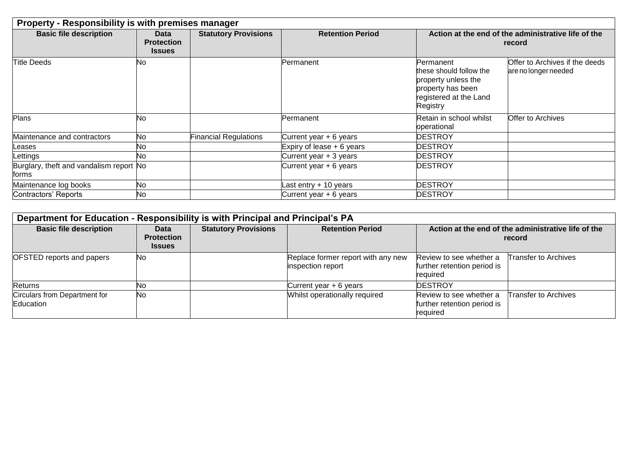| <b>Property - Responsibility is with premises manager</b> |                                            |                              |                             |                                                                                                                        |                                                               |  |
|-----------------------------------------------------------|--------------------------------------------|------------------------------|-----------------------------|------------------------------------------------------------------------------------------------------------------------|---------------------------------------------------------------|--|
| <b>Basic file description</b>                             | Data<br><b>Protection</b><br><b>Issues</b> | <b>Statutory Provisions</b>  | <b>Retention Period</b>     |                                                                                                                        | Action at the end of the administrative life of the<br>record |  |
| <b>Title Deeds</b>                                        | No.                                        |                              | Permanent                   | Permanent<br>these should follow the<br>property unless the<br>property has been<br>registered at the Land<br>Registry | Offer to Archives if the deeds<br>are no longer needed        |  |
| <b>Plans</b>                                              | No.                                        |                              | Permanent                   | Retain in school whilst<br>operational                                                                                 | Offer to Archives                                             |  |
| Maintenance and contractors                               | No                                         | <b>Financial Regulations</b> | Current year $+ 6$ years    | DESTROY                                                                                                                |                                                               |  |
| Leases                                                    | No.                                        |                              | Expiry of lease $+ 6$ years | DESTROY                                                                                                                |                                                               |  |
| Lettings                                                  | No.                                        |                              | Current year $+3$ years     | DESTROY                                                                                                                |                                                               |  |
| Burglary, theft and vandalism report No<br>forms          |                                            |                              | Current year + 6 years      | DESTROY                                                                                                                |                                                               |  |
| Maintenance log books                                     | No                                         |                              | Last entry $+10$ years      | DESTROY                                                                                                                |                                                               |  |
| Contractors' Reports                                      | No                                         |                              | Current year $+ 6$ years    | <b>DESTROY</b>                                                                                                         |                                                               |  |

| Department for Education - Responsibility is with Principal and Principal's PA |                                            |                             |                                                         |                                                                    |                             |  |
|--------------------------------------------------------------------------------|--------------------------------------------|-----------------------------|---------------------------------------------------------|--------------------------------------------------------------------|-----------------------------|--|
| <b>Basic file description</b>                                                  | Data<br><b>Protection</b><br><b>Issues</b> | <b>Statutory Provisions</b> | <b>Retention Period</b>                                 | Action at the end of the administrative life of the<br>record      |                             |  |
| <b>OFSTED reports and papers</b>                                               | <b>No</b>                                  |                             | Replace former report with any new<br>inspection report | Review to see whether a<br>further retention period is<br>required | Transfer to Archives        |  |
| Returns                                                                        | lΝo                                        |                             | Current year + 6 years                                  | <b>DESTROY</b>                                                     |                             |  |
| Circulars from Department for<br>Education                                     | No                                         |                             | Whilst operationally required                           | Review to see whether a<br>further retention period is<br>required | <b>Transfer to Archives</b> |  |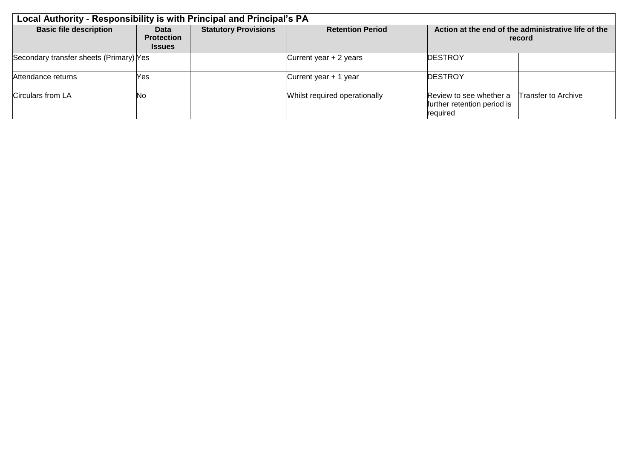| Local Authority - Responsibility is with Principal and Principal's PA |                                                   |                             |                               |                                                                    |                            |
|-----------------------------------------------------------------------|---------------------------------------------------|-----------------------------|-------------------------------|--------------------------------------------------------------------|----------------------------|
| <b>Basic file description</b>                                         | <b>Data</b><br><b>Protection</b><br><b>Issues</b> | <b>Statutory Provisions</b> | <b>Retention Period</b>       | Action at the end of the administrative life of the<br>record      |                            |
| Secondary transfer sheets (Primary) Yes                               |                                                   |                             | Current year + 2 years        | <b>DESTROY</b>                                                     |                            |
| Attendance returns                                                    | Yes                                               |                             | Current year + 1 year         | <b>DESTROY</b>                                                     |                            |
| Circulars from LA                                                     | <b>No</b>                                         |                             | Whilst required operationally | Review to see whether a<br>further retention period is<br>required | <b>Transfer to Archive</b> |